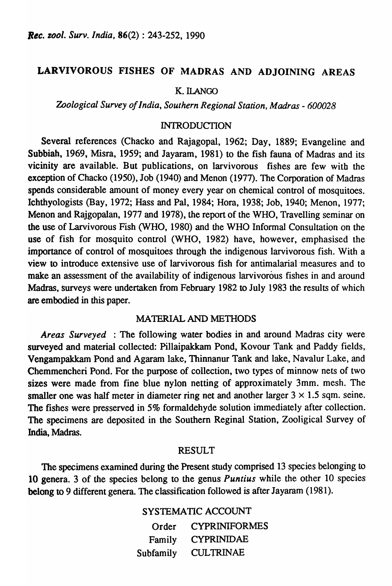# LARVIVOROUS FISHES OF MADRAS AND ADJOINING AREAS

#### K. ILANGO

*Zoological Survey of India, Southern Regional Station, Madras* - *600028* 

### **INTRODUCTION**

Several references (Chacko and Rajagopal, 1962; Day, 1889; Evangeline and Subbiah, 1969, Misra, 1959; and Jayaram, 1981) to the fish fauna of Madras and its vicinity are available. But publications, on larvivorous fishes are few with the exception of Chacko (1950), Job (1940) and Menon (1977). The Corporation of Madras spends considerable amount of money every year on chemical control of mosquitoes. Ichthyologists (Bay, 1972; Hass and Pal, 1984; Hora, 1938; Job, 1940; Menon, 1977; Menon and Rajgopalan, 1977 and 1978), the report of the WHO, Travelling seminar on the use of Larvivorous Fish (WHO, 1980) and the WHO Informal Consultation on the use of fish for mosquito control (WHO, 1982) have, however, emphasised the importance of control of mosquitoes through the indigenous larvivorous fish. With a view to introduce extensive use of larvivorous fish for antimalarial "measures and to make an assessment of the availability of indigenous larvivorous fishes in and around Madras, surveys were undertaken from February 1982 to July 1983 the results of which are embodied in this paper.

#### MATERIAL AND METHODS

*Areas Surveyed* : The following water bodies in and around Madras city were surveyed and material collected: Pillaipakkam Pond, Kovour Tank and Paddy fields, Vengampakkam Pond and Agaram lake, Thinnanur Tank and lake, Navalur Lake, and Chemmencheri Pond. For the purpose of collection, two types of minnow nets of two sizes were made from fine blue nylon netting of approximately 3mm. mesh. The smaller one was half meter in diameter ring net and another larger  $3 \times 1.5$  sqm. seine. The fishes were presserved in 5% formaldehyde solution immediately after collection. The specimens are deposited in the Southern Reginal Station, Zooligical Survey of India, Madras.

#### RESULT

The specimens examined during the Present study comprised 13 species belonging to 10 genera. 3 of the species belong to the genus *Puntius* while the other 10 species belong to 9 different genera. The classification followed is after Jayaram (1981).

> SYSTEMATIC ACCOUNT Order Family Subfamily CYPRINIFORMES CYPRINIDAE CULTRINAE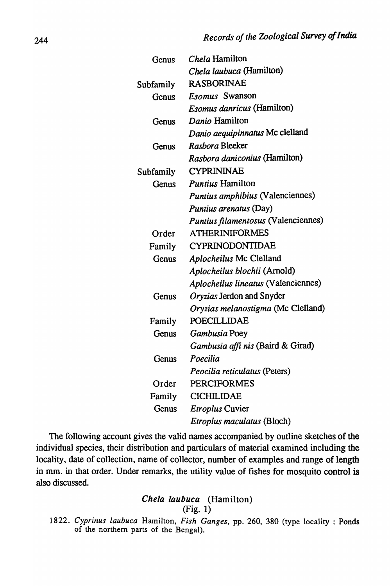| Genus     | <i>Chela</i> Hamilton                    |
|-----------|------------------------------------------|
|           | Chela laubuca (Hamilton)                 |
| Subfamily | <b>RASBORINAE</b>                        |
| Genus     | <i>Esomus</i> Swanson                    |
|           | <i>Esomus danricus</i> (Hamilton)        |
| Genus     | Danio Hamilton                           |
|           | Danio aequipinnatus Mc clelland          |
| Genus     | Rasbora Bleeker                          |
|           | <i>Rasbora daniconius</i> (Hamilton)     |
| Subfamily | <b>CYPRININAE</b>                        |
| Genus     | <b>Puntius Hamilton</b>                  |
|           | Puntius amphibius (Valenciennes)         |
|           | Puntius arenatus (Day)                   |
|           | Puntius filamentosus (Valenciennes)      |
| Order     | <b>ATHERINIFORMES</b>                    |
| Family    | CYPRINODONTIDAE                          |
| Genus     | Aplocheilus Mc Clelland                  |
|           | Aplocheilus blochii (Arnold)             |
|           | Aplocheilus lineatus (Valenciennes)      |
| Genus     | Oryzias Jerdon and Snyder                |
|           | Oryzias melanostigma (Mc Clelland)       |
| Family    | <b>POECILLIDAE</b>                       |
| Genus     | Gambusia Poey                            |
|           | <i>Gambusia affi nis</i> (Baird & Girad) |
| Genus     | Poecilia                                 |
|           | Peocilia reticulatus (Peters)            |
| Order     | <b>PERCIFORMES</b>                       |
| Family    | <b>CICHILIDAE</b>                        |
| Genus     | <i>Etroplus</i> Cuvier                   |
|           | <i>Etroplus maculatus</i> (Bloch)        |

The following account gives the valid names accompanied by outline sketches of the individual species, their distribution and particulars of material examined including the locality, date of collection, name of collector, number of examples and range of length in mm. in that order. Under remarks, the utility value of fishes for mosquito control is also discussed.

# Chela laubuca (Hamilton) (Fig. 1)

*1822. Cyprinus laubuca* Hamilton, *Fish Ganges,* pp. 260, 380 (type locality: Ponds of the northern parts of the Bengal).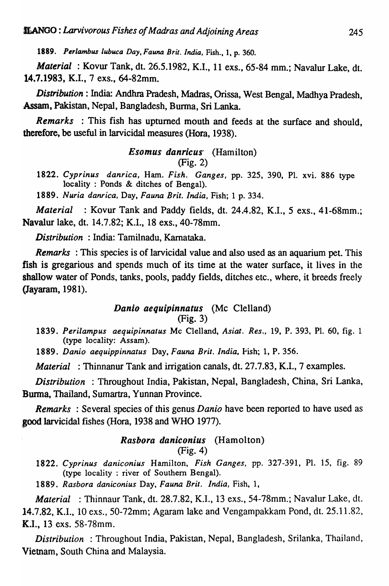*1889. Perlambus lubuca Day, Fauna Brit. India,* Fish., I, p. 360.

*Material* : Kovur Tank, dt. 26.5.1982, K.I., 11 exs., 65-84 mm.; Navalur Lake, dt. 14.7.1983, K.I., 7 exs., 64-82mm.

*Distribution:* India: Andhra Pradesh, Madras, Orissa, West Bengal, Madhya Pradesh, ,Assam, Pakistan, Nepal, Bangladesh, Burma, Sri Lanka.

*Remarks* : This fish has upturned mouth and feeds at the surface and should, therefore, be useful in larvicidal measures (Hora, 1938).

> *Esomus danricus'* (Hamilton) (Fig. 2)

*1822. Cyprinus danrica,* Ham. *Fish. Ganges,* pp. 325, 390, PI. xvi. 886 type locality : Ponds & ditches of Bengal).

*1889. Nuria danrica,* Day, *Fauna Brit. India,* Fish; 1 p. 334.

*Material* : Kovur Tank and Paddy fields, dt. 24.4.82, K.L, 5 exs., 41-68mm.; Navalur lake, dt. 14.7.82; K.I., 18 exs., 40-78mm.

*Distribution* : India: Tamilnadu, Kamataka.

*Remarks* : This species is of larvicidal value and also used as an aquarium pet. This fish is gregarious and spends much of its time at the water surface, it lives in the shallow water of Ponds, tanks, pools, paddy fields, ditches etc., where, it breeds freely (Jayaram, 1981).

## *Danio aequipinnatus* (Mc Clelland) (Fig. 3)

*1839. Perilampus aequipinnatus* Mc Clelland, *Asiat. Res.,* 19, P. 393, PI. 60, fig. 1 (type locality: Assam).

*1889. Danio aequippinnatus* Day, *Fauna Brit. India,* fish; 1, P. 356.

*Material* : Thinnanur Tank and irrigation canals, dt. 27.7.83, K.L, 7 examples.

*Distribution* : Throughout India, Pakistan, Nepal, Bangladesh, China, Sri Lanka, Bunna, Thailand, Sumartra, Yunnan Province.

*Remarks* : Several species of this genus *Danio* have been reported to have used as good larvicidal fishes (Hora, 1938 and WHO 1977).

#### *Rasbora daniconius* (Hamolton) (Fig. 4)

*1822. Cyprinus daniconius* Hamilton, *Fish Ganges,* pp. 327-391, PI. 15, fig. 89 (type locality : river of Southern Bengal).

*1889. Rasbora daniconius* Day, *Fauna Brit. India,* Fish, 1,

*Material* : Thinnaur Tank, dt. 28.7.82, K.I., 13 exs., 54-78mm.; Navalur Lake, dt. 14.7.82, K.I., 10 exs., 50-72mm; Agaram lake and Vengampakkam Pond, dt. 25.11.82, ({.I., 13 exs. 58-78mm.

**Distribution**: Throughout India, Pakistan, Nepal, Bangladesh, Srilanka, Thailand, Vietnam, South China and Malaysia.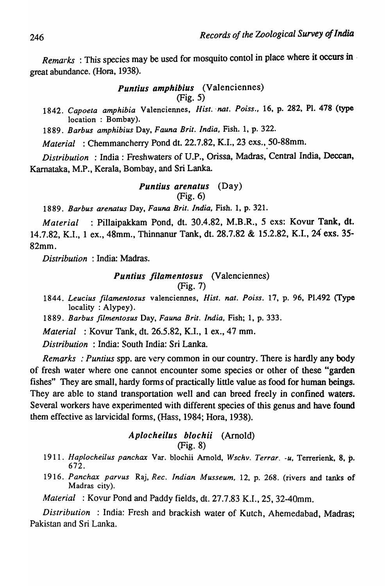*Remarks* : This species may be used for mosquito contol in place where it occurs in . great abundance. (Hora, 1938).

## *Puntius amphibius* (Valenciennes) (Fig. 5)

*1842. Capoeta amphibia* Valenciennes, *Hist. 'nat. Poiss.,* 16, p. 282, PI. 478 (type location: Bombay).

*1889. Barbus amphibius* Day, *Fauna Brit. India,* Fish. 1, p. 322.

*Material* : Chemmancherry Pond dt. 22.7.82, K.I., 23 exs., 50-88mm.

*Distribution* : India: Freshwaters of *V.P.,* Orissa, Madras, Central India, Deccan, Karnataka, M.P., Kerala, Bombay, and Sri Lanka.

#### *Puntius arenatus* (Day) (Fig. 6)

*1889. Barbus arenatus* Day, *Fauna Brit. India,* Fish. 1, p. 321.

*Material* : Pillaipakkam Pond, dt. 30.4.82, M.B .R., 5 exs: Kovur Tank, dt. 14.7.82, K.L, 1 ex., 48mm., Thinnanur Tank, dt. 28.7.82 & 15.2.82, K.I., 24 exs. 35- 82mm.

*Distribution* : India: Madras.

#### *Puntius /ilamentosus* (Valenciennes) (Fig. 7)

*1844. Leucius filamentosus* valenciennes, *Hist. nat. Poiss.* 17, p. 96, PI.492 (Type locality : Alypey).

*1889. Barbus filmentosus* Day, *Fauna Brit. India,* Fish; 1, p. 333.

*Material* : Kovur Tank, dt. 26.5.82, K.L, 1 ex., 47 mm.

*Distribution* : India: South India: Sri Lanka.

*Remarks* : *Puntius* spp. are very common in our country. There is hardly any body of fresh water where one cannot encounter some species or other of these "garden fishes" They are small, hardy forms of practically little value as food for human beings. They are able to stand transportation well and can breed freely in confined waters. Several workers have experimented with different species of this genus and have found them effective as larvicidal forms, (Hass, 1984; Rora, 1938).

# Aplocheilus blochii (Arnold) (Fig. 8)

- *1911. Haplocheilus panchax* Var. blochii Arnold, *Wschv. Terrar. -u,* Terrerienk, 8, p. 672.
- *1916. Panchax parvus* Raj, *Rec. Indian Musseum,* 12, p. 268. (rivers and tanks of Madras city).

*Material* : Kovur Pond and Paddy fields, dt. 27.7.83 K.L, 25, 32-40mm.

*Distribution* : India: Fresh and brackish water of Kutch, Ahemedabad, Madras; Pakistan and Sri Lanka.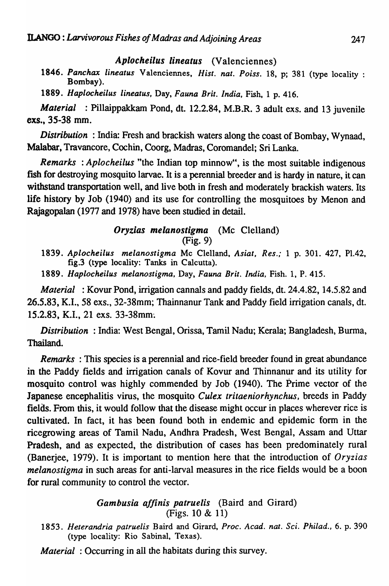## *Aplocheilus lineatus* (Valenciennes)

*1846. Panchax lineatus* Valenciennes, *Hist. nat. Poiss.* 18, p; 381 (type locality : Bombay).

*1889. Haplocheilus lineatus,* Day, *Fauna Brit. India,* Fish, 1 p.416.

*Material* : Pillaippakkam Pond, dt. 12.2.84, M.B.R. 3 adult exs. and 13 juvenile exs., 35-38 mm.

*Distribution* : India: Fresh and brackish waters along the coast of Bombay, Wynaad, Malabar, Travancore, Cochin, Coorg, Madras, Coromandel; Sri Lanka.

*Remarks* : *Aplocheilus* "the Indian top minnow", is the most suitable indigenous fish for destroying mosquito larvae. It is a perennial breeder and is hardy in nature, it can withstand transportation well, and live both in fresh and moderately brackish waters. Its life history by Job (1940) and its use for controlling the mosquitoes by Menon and Rajagopalan (1977 and 1978) have been studied in detail.

### *Oryzias melanostigma* (Mc Clelland) (Fig. 9)

*1839. Aplocheilus melanostigma* Mc Clelland, *Asiat, Res.;* 1 p. 301. 427, P1.42, fig.3 (type locality: Tanks in Calcutta).

*1889. Haplocheilus melanostigma,* Day, *Fauna Brit. India,* Fish. 1, P. 415.

*Material* : Kovur Pond, irrigation cannals and paddy fields, dt. 24.4.82, 14.5.82 and 26.5.83, K.I., 58 exs., 32-38mm; Thainnanur Tank and Paddy field irrigation canals, dt. 15.2.83, K.I., 21 exs. 33-38mm~

*Distribution* : India: West Bengal, Orissa, Tamil Nadu; Kerala; Bangladesh, Burma, Thailand.

*Remarks* : This species is a perennial and rice-field breeder found in great abundance in the Paddy fields and irrigation canals of Kovur and Thinnanur and its utility for mosquito control was highly commended by Job (1940). The Prime vector of the Japanese encephalitis virus, the mosquito *Culex tritaeniorhynchus,* breeds in Paddy fields. From this, it would follow that the disease might occur in places wherever rice is cultivated. In fact, it has been found both in endemic and epidemic form in the ricegrowing areas of Tamil Nadu, Andhra Pradesh, West Bengal, Assam and Uttar Pradesh, and as expected, the distribution of cases has been predominately rural (Banerjee, 1979). It is important to mention here that the introduction of *Oryzias melanostigma* in such areas for anti-larval measures in the rice fields would be a boon for rural community to control the vector.

# *Gambusia a/finis patruelis* (Baird and Girard) (Figs. 10 & 11)

*1853. Heterandria patruelis* Baird and Girard, *Proc. Acad. nat. Sci. Philad.,* 6. p. 390 (type locality: Rio Sabinal, Texas).

*Material* : Occurring in all the habitats during this survey.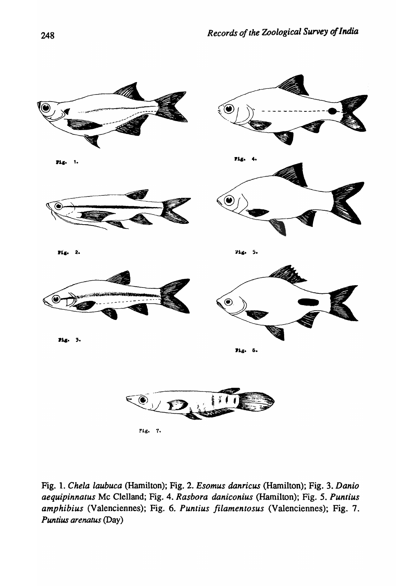

Fig. 1. *Chela laubuca* (Hamilton); Fig. 2. *Esomus danricus* (Hamilton); Fig. 3. *Danio aequipinnatus* Mc Clelland; Fig. 4. *Rasbora daniconius* (Hamilton); Fig. 5. *Puntius amphibius* (Valenciennes); Fig. 6. *Puntius Jilamentosus* (Valenciennes); Fig. 7. *Puntius arenatus* (Day)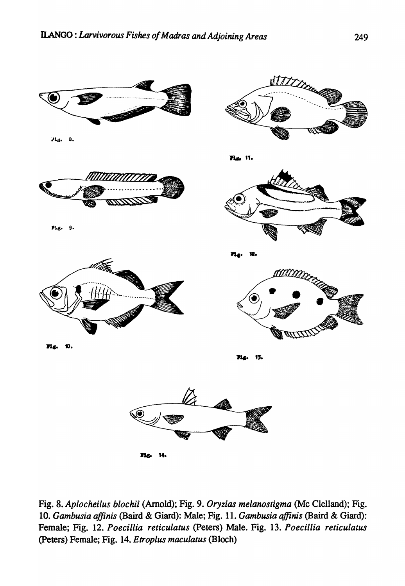

Pig. 8.



Pig. - 9.





11.



71g. 12.



**Ms.** 10.

**Tig.** 15.



71g 14

Fig. 8. *Aplocheilus blochii* (Arnold); Fig. 9. *Oryzias melanostigma* (Me Clelland); Fig. *10. Gambusia affinis* (Baird & Giard): Male; Fig. 11. *Gambusia ajJinis* (Baird & Giard): Female; Fig. 12. *Poecillia reticulatus* (Peters) Male. Fig. 13. *Poecillia reticulatus*  (peters) Female; Fig. 14. *Etroplus maculatus* (Bloch)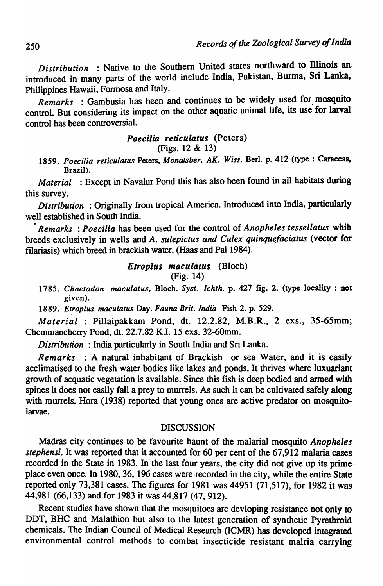*Distribution* : Native to the Southern United states northward to Illinois an introduced in many parts of the world include India, Pakistan, Burma, Sri Lanka, Philippines Hawaii, Formosa and Italy.

*Remarks* : Gambusia has been and continues to be widely used for. mosquito control. But considering its impact on the other aquatic animal life, its use for larval control has been controversial.

# *Poecilia reticulatus* (Peters)

# (Figs. 12 & 13)

*1859. Poecilia reticulatus* Peters, *Monatsher. AK. Wiss.* Bed. p. 412 (type : Caraccas, Brazil).

*Material* : Except in Navalur Pond this has also been found in all habitats during this survey.

*Distribution* : Originally from tropical America. Introduced into India, particularly well established in South India.

*• Remarks* : *Poe cilia* has been used for the control of *Anopheles tessellatus* whih breeds exclusively in wells and *A. sulepictus and Culex quinquefaciatus* (vector for filariasis) which breed in brackish water. (Haas and Pal 1984).

# *EtropJus maculatus* (Bloch)

$$
(Fig. 14)
$$

*1785. Chaetodon maculatus,* Bloch. *Syst. Ichth.* p. 427 fig. 2. (type locality: not given).

*1889.* E~roplus *maculatus* Day. *Fauna Brit. India* Fish 2. p. 529.

*Material* : Pillaipakkam Pond, dt. 12.2.82, M.B.R., 2 exs., 35-65mm; Chemmancherry Pond, dt. 22.7.82 K.I. 15 exs. 32-60mm.

*Distribution* : India particularly in South India and Sri Lanka.

*Remarks* : A natural inhabitant of Brackish or sea Water, and it is easily acclimatised to the fresh water bodies like lakes and ponds. It thrives where luxuariant growth of acquatic vegetation is available. Since this fish is deep bodied and armed with spines it does not easily fall a prey to murrels. As such it can be cultivated safely along with murrels. Hora (1938) reported that young ones are active predator on mosquitolarvae.

#### DISCUSSION

Madras city continues to be favourite haunt of the malarial mosquito *Anopheles stephensi.* It was reported that it accounted for 60 per cent of the 67,912 malaria cases recorded in the State in 1983. In the last four years, the city did not give up its prime place even once. In 1980, 36, 196 cases were·recorded in the city, while the entire State reported only 73,381 cases. The figures for 1981 was 44951 (71,517), for 1982 it was 44,981 (66,133) and for 1983 it was 44,817 (47, 912).

Recent studies have shown that the mosquitoes are devloping resistance not only to DDT, BHC and Malathion but also to the latest generation of synthetic Pyrethroid chemicals. The Indian Council of Medical Research (ICMR) has developed integrated environmental control methods to combat insecticide resistant malria carrying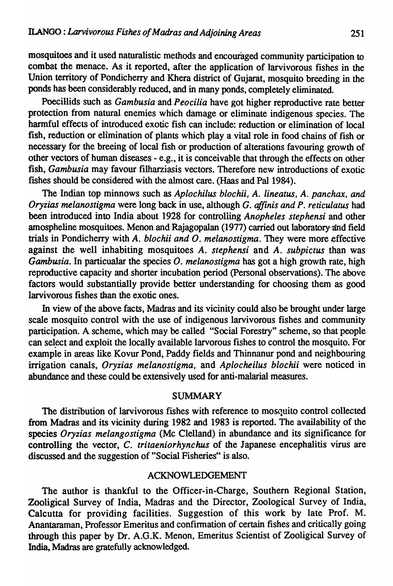mosquitoes and it used naturalistic methods and encouraged community participation to combat the menace. As it reported, after the application of larvivorous fishes in the Union territory of Pondicherry and Khera district of Gujarat, mosquito breeding in the ponds has been considerably reduced, and in many ponds, completely eliminated.

PoeciHids such as *Gambusia* and *Peocilia* have got higher reproductive rate better protection from natural enemies which damage or eliminate indigenous species. The harmful effects of introduced exotic fish can include: reduction or elimination of local fish, reduction or elimination of plants which play a vital role in food chains of fish or necessary for the breeing of local fish or production of alterations favouring growth of other vectors of human diseases - e.g., it is conceivable that through the effects on other fish, *Gambusia* may favour filharziasis vectors. Therefore new introductions of exotic fishes should be considered with the almost care. (Haas and Pal 1984).

The Indian top minnows such as *Aplochilus blochii, A. lineatus, A. panchax, and Oryzias melanostigma* were long back in use, although G. *affinis and P. reticulatus* had been introduced into India about 1928 for controlling *Anopheles stephensi* and other amospheline mosquitoes. Menon and Rajagopalan (1977) carried out laboratory-and field trials in Pondicherry with *A. blochii and O. melanostigma*. They were more effective against the well inhabiting mosquitoes *A. stephensi* and *A. subpictus* than was *Gambusia.* In particualar the species *O. meianostigma* has got a high growth rate, high reproductive capacity and shorter incubation period (Personal observations). The above factors would substantially provide better understanding for choosing them as good larvivorous fishes than the exotic ones.

In view of the above facts, Madras and its vicinity could also be brought under large scale mosquito control with the use of indigenous larvivorous fishes and community participation. A scheme, which may be called "Social Forestry" scheme, so that people can select and exploit the locally available larvorous fishes to control the mosquito. For example in areas like Kovur Pond, Paddy fields and Thinnanur pond and neighbouring irrigation canals, *Oryzias melanostigma,* and *Aplocheilus blochii* were noticed in abundance and these could be extensively used for anti-malarial measures.

### SUMMARY

The distribution of larvivorous fishes with reference to mosquito control collected from Madras and its vicinity during 1982 and 1983 is reported. The availability of the species *Oryzias melangostigma* (Mc Clelland) in abundance and its significance for controlling the vector, C. *tritaeniorhynchus* of the Japanese encephalitis virus are discussed and the suggestion of "Social Fisheries" is also.

## ACKNOWLEDGEMENT

The author is thankful to the Officer-in-Charge, Southern Regional Station, Zooligical Survey of India, Madras and the Director, Zoological Survey of India, Calcutta for providing facilities. Suggestion of this work by late Prof. M. Anantaraman, Professor Emeritus and confirmation of certain fishes and critically going through this paper by Dr. A.G.K. Menon, Emeritus Scientist of Zooligical Survey of India, Madras are gratefully acknowledged.